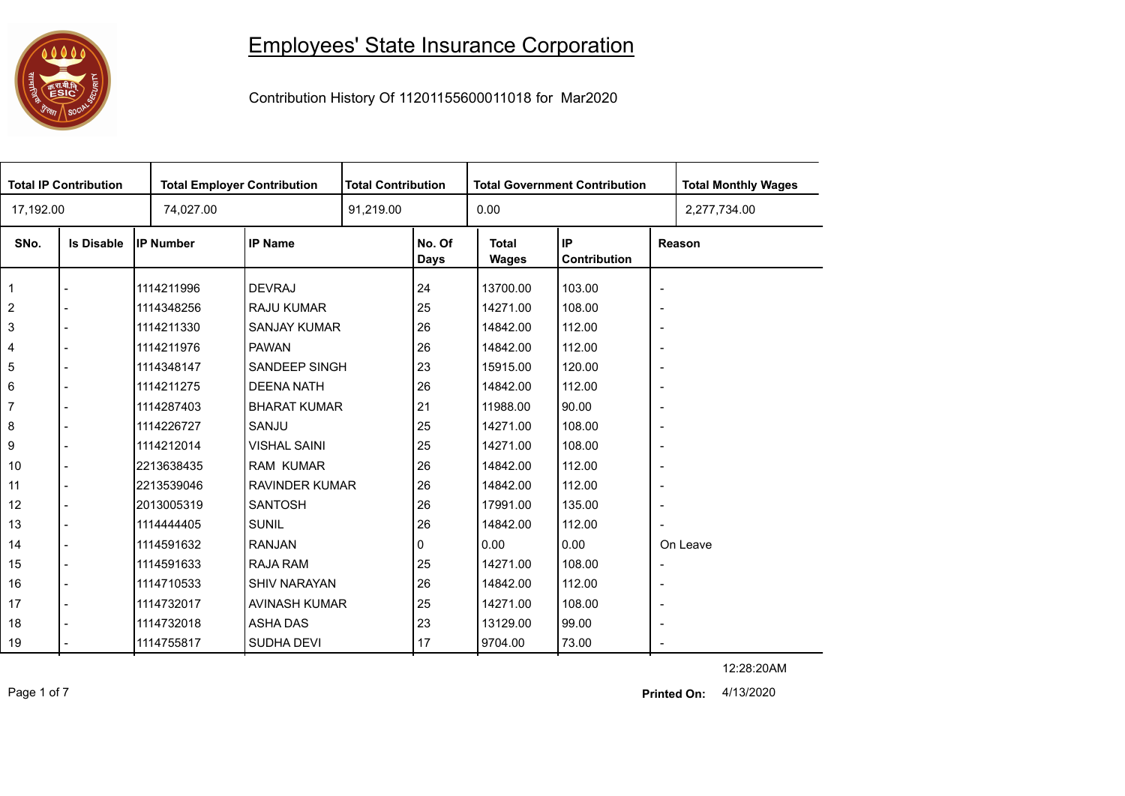## Employees' State Insurance Corporation



Contribution History Of 11201155600011018 for Mar2020

| <b>Total IP Contribution</b> |                   |                  | <b>Total Employer Contribution</b> |  | <b>Total Contribution</b><br><b>Total Government Contribution</b> |                       |                    |                          | <b>Total Monthly Wages</b> |
|------------------------------|-------------------|------------------|------------------------------------|--|-------------------------------------------------------------------|-----------------------|--------------------|--------------------------|----------------------------|
| 17,192.00                    |                   | 74,027.00        |                                    |  | 91,219.00                                                         |                       |                    |                          | 2,277,734.00               |
| SNo.                         | <b>Is Disable</b> | <b>IP Number</b> | <b>IP Name</b>                     |  | No. Of<br><b>Days</b>                                             | <b>Total</b><br>Wages | IP<br>Contribution |                          | Reason                     |
| $\overline{1}$               |                   | 1114211996       | <b>DEVRAJ</b>                      |  | 24                                                                | 13700.00              | 103.00             | $\overline{\phantom{a}}$ |                            |
| $\sqrt{2}$                   |                   | 1114348256       | <b>RAJU KUMAR</b>                  |  | 25                                                                | 14271.00              | 108.00             | $\overline{\phantom{a}}$ |                            |
| $\mathbf{3}$                 |                   | 1114211330       | <b>SANJAY KUMAR</b>                |  | 26                                                                | 14842.00              | 112.00             | $\overline{\phantom{a}}$ |                            |
| $\overline{\mathcal{A}}$     |                   | 1114211976       | <b>PAWAN</b>                       |  | 26                                                                | 14842.00              | 112.00             | $\overline{\phantom{a}}$ |                            |
| $\,$ 5 $\,$                  |                   | 1114348147       | SANDEEP SINGH                      |  | 23                                                                | 15915.00              | 120.00             | $\overline{\phantom{a}}$ |                            |
| 6                            |                   | 1114211275       | <b>DEENA NATH</b>                  |  | 26                                                                | 14842.00              | 112.00             | $\overline{\phantom{a}}$ |                            |
| $\overline{7}$               |                   | 1114287403       | <b>BHARAT KUMAR</b>                |  | 21                                                                | 11988.00              | 90.00              | $\overline{\phantom{a}}$ |                            |
| $\bf 8$                      |                   | 1114226727       | SANJU                              |  | 25                                                                | 14271.00              | 108.00             | $\overline{\phantom{a}}$ |                            |
| 9                            |                   | 1114212014       | <b>VISHAL SAINI</b>                |  | 25                                                                | 14271.00              | 108.00             | $\overline{\phantom{a}}$ |                            |
| 10                           |                   | 2213638435       | <b>RAM KUMAR</b>                   |  | 26                                                                | 14842.00              | 112.00             | $\overline{\phantom{a}}$ |                            |
| 11                           |                   | 2213539046       | <b>RAVINDER KUMAR</b>              |  | 26                                                                | 14842.00              | 112.00             | $\overline{\phantom{a}}$ |                            |
| 12                           |                   | 2013005319       | <b>SANTOSH</b>                     |  | 26                                                                | 17991.00              | 135.00             | $\overline{\phantom{a}}$ |                            |
| 13                           |                   | 1114444405       | <b>SUNIL</b>                       |  | 26                                                                | 14842.00              | 112.00             |                          |                            |
| 14                           |                   | 1114591632       | <b>RANJAN</b>                      |  | 0                                                                 | 0.00                  | 0.00               |                          | On Leave                   |
| 15                           |                   | 1114591633       | <b>RAJA RAM</b>                    |  | 25                                                                | 14271.00              | 108.00             | $\overline{\phantom{a}}$ |                            |
| 16                           |                   | 1114710533       | <b>SHIV NARAYAN</b>                |  | 26                                                                | 14842.00              | 112.00             | $\overline{\phantom{a}}$ |                            |
| 17                           |                   | 1114732017       | AVINASH KUMAR                      |  | 25                                                                | 14271.00              | 108.00             | $\overline{\phantom{a}}$ |                            |
| 18                           |                   | 1114732018       | <b>ASHA DAS</b>                    |  | 23                                                                | 13129.00              | 99.00              | $\overline{\phantom{a}}$ |                            |
| 19                           |                   | 1114755817       | <b>SUDHA DEVI</b>                  |  | 17                                                                | 9704.00               | 73.00              | $\blacksquare$           |                            |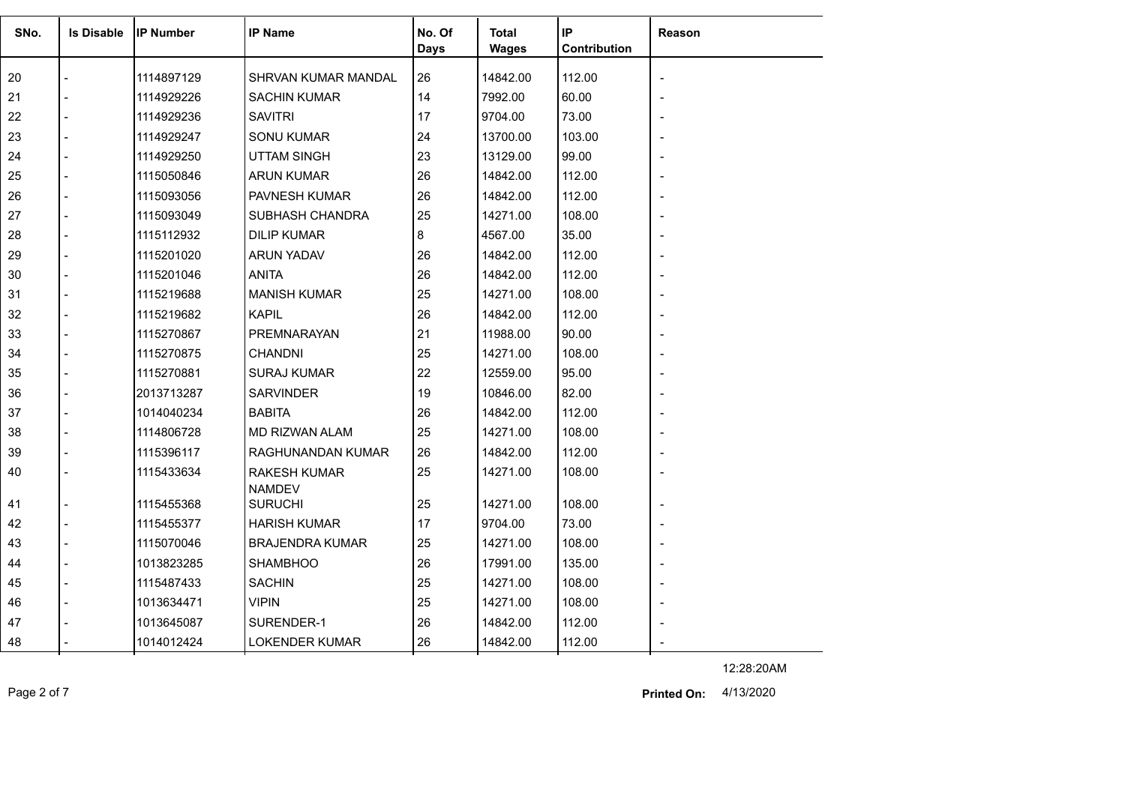| SNo. | <b>Is Disable</b> | <b>IP Number</b> | <b>IP Name</b>         | No. Of      | <b>Total</b> | IP           | <b>Reason</b>  |
|------|-------------------|------------------|------------------------|-------------|--------------|--------------|----------------|
|      |                   |                  |                        | <b>Days</b> | <b>Wages</b> | Contribution |                |
| 20   |                   | 1114897129       | SHRVAN KUMAR MANDAL    | 26          | 14842.00     | 112.00       |                |
| 21   |                   | 1114929226       | <b>SACHIN KUMAR</b>    | 14          | 7992.00      | 60.00        |                |
| 22   |                   | 1114929236       | <b>SAVITRI</b>         | 17          | 9704.00      | 73.00        |                |
| 23   |                   | 1114929247       | <b>SONU KUMAR</b>      | 24          | 13700.00     | 103.00       |                |
| 24   |                   | 1114929250       | <b>UTTAM SINGH</b>     | 23          | 13129.00     | 99.00        |                |
| 25   |                   | 1115050846       | <b>ARUN KUMAR</b>      | 26          | 14842.00     | 112.00       |                |
| 26   |                   | 1115093056       | PAVNESH KUMAR          | 26          | 14842.00     | 112.00       |                |
| 27   |                   | 1115093049       | SUBHASH CHANDRA        | 25          | 14271.00     | 108.00       |                |
| 28   |                   | 1115112932       | <b>DILIP KUMAR</b>     | 8           | 4567.00      | 35.00        |                |
| 29   |                   | 1115201020       | <b>ARUN YADAV</b>      | 26          | 14842.00     | 112.00       |                |
| 30   |                   | 1115201046       | <b>ANITA</b>           | 26          | 14842.00     | 112.00       |                |
| 31   |                   | 1115219688       | <b>MANISH KUMAR</b>    | 25          | 14271.00     | 108.00       |                |
| 32   |                   | 1115219682       | <b>KAPIL</b>           | 26          | 14842.00     | 112.00       |                |
| 33   |                   | 1115270867       | PREMNARAYAN            | 21          | 11988.00     | 90.00        |                |
| 34   |                   | 1115270875       | <b>CHANDNI</b>         | 25          | 14271.00     | 108.00       |                |
| 35   |                   | 1115270881       | <b>SURAJ KUMAR</b>     | 22          | 12559.00     | 95.00        |                |
| 36   |                   | 2013713287       | <b>SARVINDER</b>       | 19          | 10846.00     | 82.00        |                |
| 37   |                   | 1014040234       | <b>BABITA</b>          | 26          | 14842.00     | 112.00       |                |
| 38   |                   | 1114806728       | <b>MD RIZWAN ALAM</b>  | 25          | 14271.00     | 108.00       |                |
| 39   |                   | 1115396117       | RAGHUNANDAN KUMAR      | 26          | 14842.00     | 112.00       |                |
| 40   |                   | 1115433634       | <b>RAKESH KUMAR</b>    | 25          | 14271.00     | 108.00       |                |
|      |                   |                  | <b>NAMDEV</b>          |             |              |              |                |
| 41   |                   | 1115455368       | <b>SURUCHI</b>         | 25          | 14271.00     | 108.00       |                |
| 42   |                   | 1115455377       | <b>HARISH KUMAR</b>    | 17          | 9704.00      | 73.00        |                |
| 43   |                   | 1115070046       | <b>BRAJENDRA KUMAR</b> | 25          | 14271.00     | 108.00       |                |
| 44   |                   | 1013823285       | <b>SHAMBHOO</b>        | 26          | 17991.00     | 135.00       |                |
| 45   |                   | 1115487433       | <b>SACHIN</b>          | 25          | 14271.00     | 108.00       | $\overline{a}$ |
| 46   |                   | 1013634471       | <b>VIPIN</b>           | 25          | 14271.00     | 108.00       |                |
| 47   |                   | 1013645087       | SURENDER-1             | 26          | 14842.00     | 112.00       |                |
| 48   |                   | 1014012424       | <b>LOKENDER KUMAR</b>  | 26          | 14842.00     | 112.00       |                |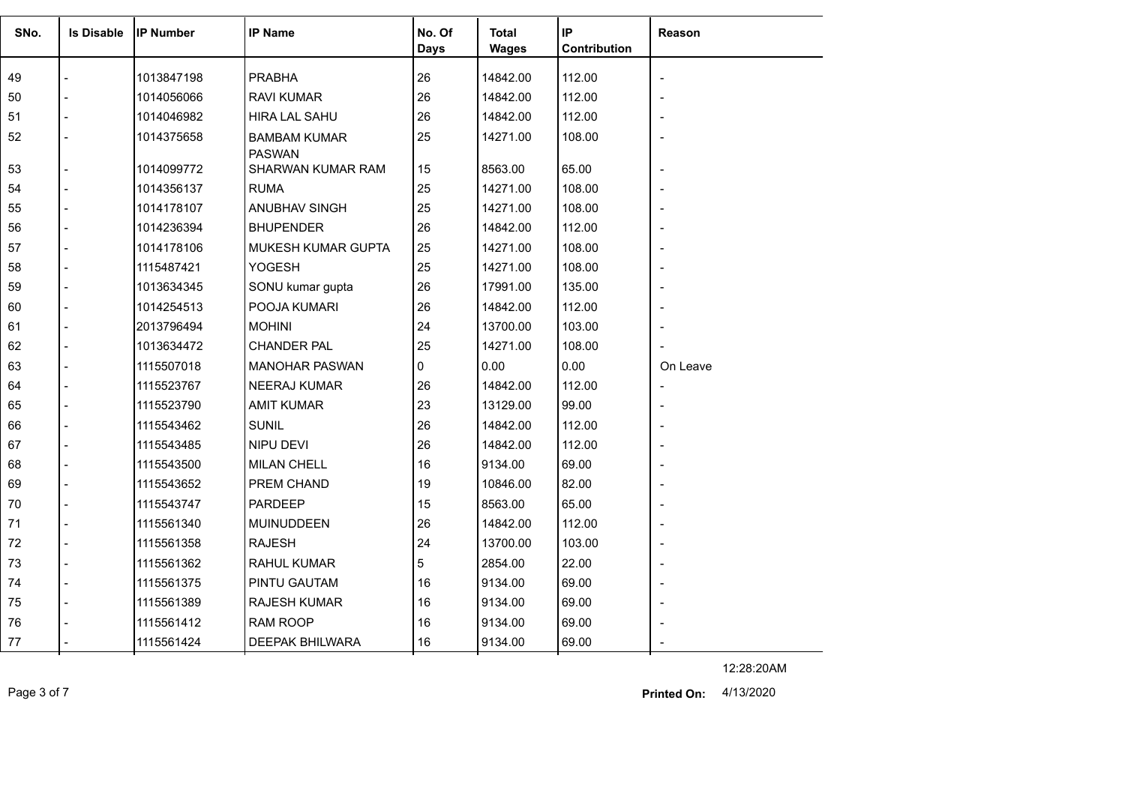| SNo. | <b>Is Disable</b> | <b>IP Number</b> | <b>IP Name</b>                       | No. Of<br><b>Days</b> | <b>Total</b><br><b>Wages</b> | IP<br>Contribution | Reason   |
|------|-------------------|------------------|--------------------------------------|-----------------------|------------------------------|--------------------|----------|
|      |                   |                  |                                      |                       |                              |                    |          |
| 49   |                   | 1013847198       | <b>PRABHA</b>                        | 26                    | 14842.00                     | 112.00             |          |
| 50   | $\overline{a}$    | 1014056066       | <b>RAVI KUMAR</b>                    | 26                    | 14842.00                     | 112.00             |          |
| 51   |                   | 1014046982       | <b>HIRA LAL SAHU</b>                 | 26                    | 14842.00                     | 112.00             |          |
| 52   |                   | 1014375658       | <b>BAMBAM KUMAR</b><br><b>PASWAN</b> | 25                    | 14271.00                     | 108.00             |          |
| 53   | $\overline{a}$    | 1014099772       | SHARWAN KUMAR RAM                    | 15                    | 8563.00                      | 65.00              |          |
| 54   |                   | 1014356137       | <b>RUMA</b>                          | 25                    | 14271.00                     | 108.00             |          |
| 55   |                   | 1014178107       | ANUBHAV SINGH                        | 25                    | 14271.00                     | 108.00             |          |
| 56   |                   | 1014236394       | <b>BHUPENDER</b>                     | 26                    | 14842.00                     | 112.00             |          |
| 57   | $\blacksquare$    | 1014178106       | MUKESH KUMAR GUPTA                   | 25                    | 14271.00                     | 108.00             |          |
| 58   |                   | 1115487421       | YOGESH                               | 25                    | 14271.00                     | 108.00             |          |
| 59   | $\blacksquare$    | 1013634345       | SONU kumar gupta                     | 26                    | 17991.00                     | 135.00             |          |
| 60   |                   | 1014254513       | POOJA KUMARI                         | 26                    | 14842.00                     | 112.00             |          |
| 61   |                   | 2013796494       | <b>MOHINI</b>                        | 24                    | 13700.00                     | 103.00             |          |
| 62   |                   | 1013634472       | <b>CHANDER PAL</b>                   | 25                    | 14271.00                     | 108.00             |          |
| 63   | $\overline{a}$    | 1115507018       | <b>MANOHAR PASWAN</b>                | 0                     | 0.00                         | 0.00               | On Leave |
| 64   |                   | 1115523767       | <b>NEERAJ KUMAR</b>                  | 26                    | 14842.00                     | 112.00             |          |
| 65   |                   | 1115523790       | <b>AMIT KUMAR</b>                    | 23                    | 13129.00                     | 99.00              |          |
| 66   | $\overline{a}$    | 1115543462       | <b>SUNIL</b>                         | 26                    | 14842.00                     | 112.00             |          |
| 67   |                   | 1115543485       | NIPU DEVI                            | 26                    | 14842.00                     | 112.00             |          |
| 68   |                   | 1115543500       | <b>MILAN CHELL</b>                   | 16                    | 9134.00                      | 69.00              |          |
| 69   |                   | 1115543652       | PREM CHAND                           | 19                    | 10846.00                     | 82.00              |          |
| 70   | $\overline{a}$    | 1115543747       | <b>PARDEEP</b>                       | 15                    | 8563.00                      | 65.00              |          |
| 71   |                   | 1115561340       | MUINUDDEEN                           | 26                    | 14842.00                     | 112.00             |          |
| 72   | $\overline{a}$    | 1115561358       | <b>RAJESH</b>                        | 24                    | 13700.00                     | 103.00             |          |
| 73   |                   | 1115561362       | RAHUL KUMAR                          | 5                     | 2854.00                      | 22.00              |          |
| 74   | $\blacksquare$    | 1115561375       | PINTU GAUTAM                         | 16                    | 9134.00                      | 69.00              |          |
| 75   | $\overline{a}$    | 1115561389       | RAJESH KUMAR                         | 16                    | 9134.00                      | 69.00              |          |
| 76   |                   | 1115561412       | <b>RAM ROOP</b>                      | 16                    | 9134.00                      | 69.00              |          |
| 77   |                   | 1115561424       | DEEPAK BHILWARA                      | 16                    | 9134.00                      | 69.00              |          |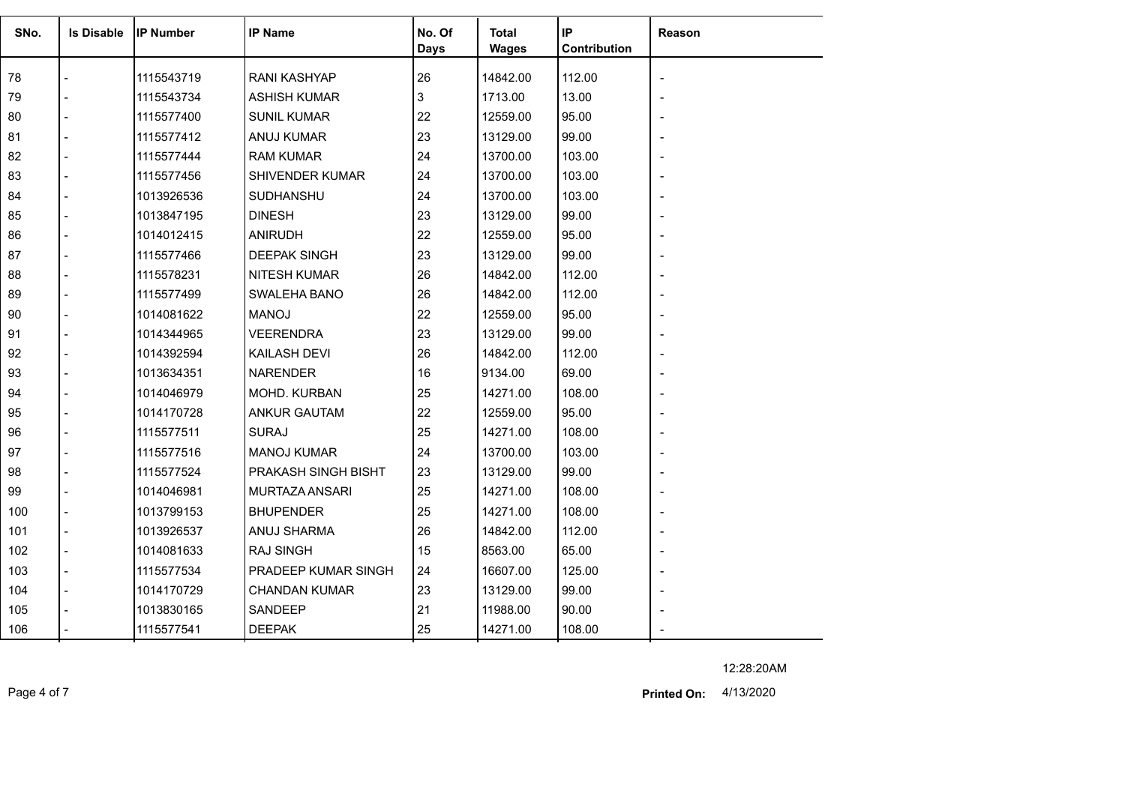| SNo. | <b>Is Disable</b> | <b>IP Number</b> | <b>IP Name</b>       | No. Of<br><b>Days</b> | <b>Total</b><br><b>Wages</b> | IP<br>Contribution | Reason |
|------|-------------------|------------------|----------------------|-----------------------|------------------------------|--------------------|--------|
| 78   |                   | 1115543719       | <b>RANI KASHYAP</b>  | 26                    | 14842.00                     | 112.00             |        |
| 79   |                   | 1115543734       | <b>ASHISH KUMAR</b>  | 3                     | 1713.00                      | 13.00              |        |
| 80   |                   | 1115577400       | <b>SUNIL KUMAR</b>   | 22                    | 12559.00                     | 95.00              |        |
| 81   |                   | 1115577412       | ANUJ KUMAR           | 23                    | 13129.00                     | 99.00              |        |
| 82   |                   | 1115577444       | <b>RAM KUMAR</b>     | 24                    | 13700.00                     | 103.00             |        |
| 83   |                   | 1115577456       | SHIVENDER KUMAR      | 24                    | 13700.00                     | 103.00             |        |
| 84   |                   | 1013926536       | SUDHANSHU            | 24                    | 13700.00                     | 103.00             |        |
| 85   |                   | 1013847195       | <b>DINESH</b>        | 23                    | 13129.00                     | 99.00              |        |
| 86   |                   | 1014012415       | <b>ANIRUDH</b>       | 22                    | 12559.00                     | 95.00              |        |
| 87   |                   | 1115577466       | <b>DEEPAK SINGH</b>  | 23                    | 13129.00                     | 99.00              |        |
| 88   |                   | 1115578231       | <b>NITESH KUMAR</b>  | 26                    | 14842.00                     | 112.00             |        |
| 89   |                   | 1115577499       | SWALEHA BANO         | 26                    | 14842.00                     | 112.00             |        |
| 90   |                   | 1014081622       | <b>MANOJ</b>         | 22                    | 12559.00                     | 95.00              |        |
| 91   |                   | 1014344965       | <b>VEERENDRA</b>     | 23                    | 13129.00                     | 99.00              |        |
| 92   |                   | 1014392594       | <b>KAILASH DEVI</b>  | 26                    | 14842.00                     | 112.00             |        |
| 93   |                   | 1013634351       | <b>NARENDER</b>      | 16                    | 9134.00                      | 69.00              |        |
| 94   |                   | 1014046979       | MOHD. KURBAN         | 25                    | 14271.00                     | 108.00             |        |
| 95   |                   | 1014170728       | <b>ANKUR GAUTAM</b>  | 22                    | 12559.00                     | 95.00              |        |
| 96   |                   | 1115577511       | <b>SURAJ</b>         | 25                    | 14271.00                     | 108.00             |        |
| 97   |                   | 1115577516       | <b>MANOJ KUMAR</b>   | 24                    | 13700.00                     | 103.00             |        |
| 98   |                   | 1115577524       | PRAKASH SINGH BISHT  | 23                    | 13129.00                     | 99.00              |        |
| 99   |                   | 1014046981       | MURTAZA ANSARI       | 25                    | 14271.00                     | 108.00             |        |
| 100  |                   | 1013799153       | <b>BHUPENDER</b>     | 25                    | 14271.00                     | 108.00             |        |
| 101  |                   | 1013926537       | ANUJ SHARMA          | 26                    | 14842.00                     | 112.00             |        |
| 102  | $\overline{a}$    | 1014081633       | <b>RAJ SINGH</b>     | 15                    | 8563.00                      | 65.00              |        |
| 103  | $\overline{a}$    | 1115577534       | PRADEEP KUMAR SINGH  | 24                    | 16607.00                     | 125.00             |        |
| 104  |                   | 1014170729       | <b>CHANDAN KUMAR</b> | 23                    | 13129.00                     | 99.00              |        |
| 105  |                   | 1013830165       | SANDEEP              | 21                    | 11988.00                     | 90.00              |        |
| 106  |                   | 1115577541       | <b>DEEPAK</b>        | 25                    | 14271.00                     | 108.00             |        |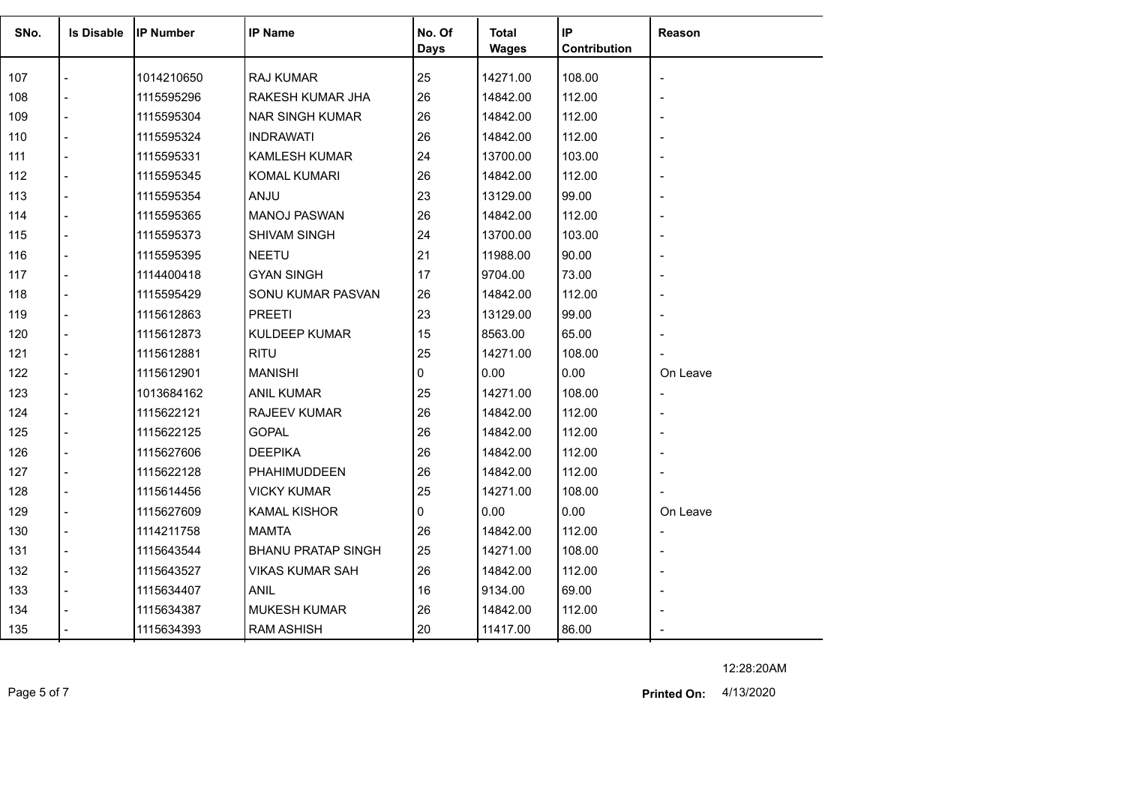| SNo. | <b>Is Disable</b>        | IIP Number | <b>IP Name</b>            | No. Of<br>Days | Total<br><b>Wages</b> | IP<br>Contribution | Reason   |
|------|--------------------------|------------|---------------------------|----------------|-----------------------|--------------------|----------|
| 107  |                          | 1014210650 | RAJ KUMAR                 | 25             | 14271.00              | 108.00             |          |
| 108  |                          | 1115595296 | RAKESH KUMAR JHA          | 26             | 14842.00              | 112.00             |          |
| 109  |                          | 1115595304 | <b>NAR SINGH KUMAR</b>    | 26             | 14842.00              | 112.00             |          |
| 110  |                          | 1115595324 | <b>INDRAWATI</b>          | 26             | 14842.00              | 112.00             |          |
| 111  | $\blacksquare$           | 1115595331 | <b>KAMLESH KUMAR</b>      | 24             | 13700.00              | 103.00             |          |
| 112  | $\overline{a}$           | 1115595345 | KOMAL KUMARI              | 26             | 14842.00              | 112.00             |          |
| 113  |                          | 1115595354 | <b>ANJU</b>               | 23             | 13129.00              | 99.00              |          |
| 114  | $\overline{a}$           | 1115595365 | <b>MANOJ PASWAN</b>       | 26             | 14842.00              | 112.00             |          |
| 115  | $\overline{a}$           | 1115595373 | <b>SHIVAM SINGH</b>       | 24             | 13700.00              | 103.00             |          |
| 116  |                          | 1115595395 | <b>NEETU</b>              | 21             | 11988.00              | 90.00              |          |
| 117  | $\overline{a}$           | 1114400418 | <b>GYAN SINGH</b>         | 17             | 9704.00               | 73.00              |          |
| 118  | $\overline{a}$           | 1115595429 | SONU KUMAR PASVAN         | 26             | 14842.00              | 112.00             |          |
| 119  |                          | 1115612863 | <b>PREETI</b>             | 23             | 13129.00              | 99.00              |          |
| 120  | $\overline{a}$           | 1115612873 | <b>KULDEEP KUMAR</b>      | 15             | 8563.00               | 65.00              |          |
| 121  | $\overline{\phantom{a}}$ | 1115612881 | <b>RITU</b>               | 25             | 14271.00              | 108.00             |          |
| 122  |                          | 1115612901 | <b>MANISHI</b>            | 0              | 0.00                  | 0.00               | On Leave |
| 123  |                          | 1013684162 | <b>ANIL KUMAR</b>         | 25             | 14271.00              | 108.00             |          |
| 124  | $\overline{a}$           | 1115622121 | RAJEEV KUMAR              | 26             | 14842.00              | 112.00             |          |
| 125  | $\blacksquare$           | 1115622125 | <b>GOPAL</b>              | 26             | 14842.00              | 112.00             |          |
| 126  |                          | 1115627606 | <b>DEEPIKA</b>            | 26             | 14842.00              | 112.00             |          |
| 127  | $\overline{a}$           | 1115622128 | PHAHIMUDDEEN              | 26             | 14842.00              | 112.00             |          |
| 128  |                          | 1115614456 | <b>VICKY KUMAR</b>        | 25             | 14271.00              | 108.00             |          |
| 129  |                          | 1115627609 | <b>KAMAL KISHOR</b>       | 0              | 0.00                  | 0.00               | On Leave |
| 130  |                          | 1114211758 | <b>MAMTA</b>              | 26             | 14842.00              | 112.00             |          |
| 131  | $\blacksquare$           | 1115643544 | <b>BHANU PRATAP SINGH</b> | 25             | 14271.00              | 108.00             |          |
| 132  | $\overline{\phantom{a}}$ | 1115643527 | <b>VIKAS KUMAR SAH</b>    | 26             | 14842.00              | 112.00             |          |
| 133  |                          | 1115634407 | <b>ANIL</b>               | 16             | 9134.00               | 69.00              |          |
| 134  |                          | 1115634387 | <b>MUKESH KUMAR</b>       | 26             | 14842.00              | 112.00             |          |
| 135  |                          | 1115634393 | <b>RAM ASHISH</b>         | 20             | 11417.00              | 86.00              |          |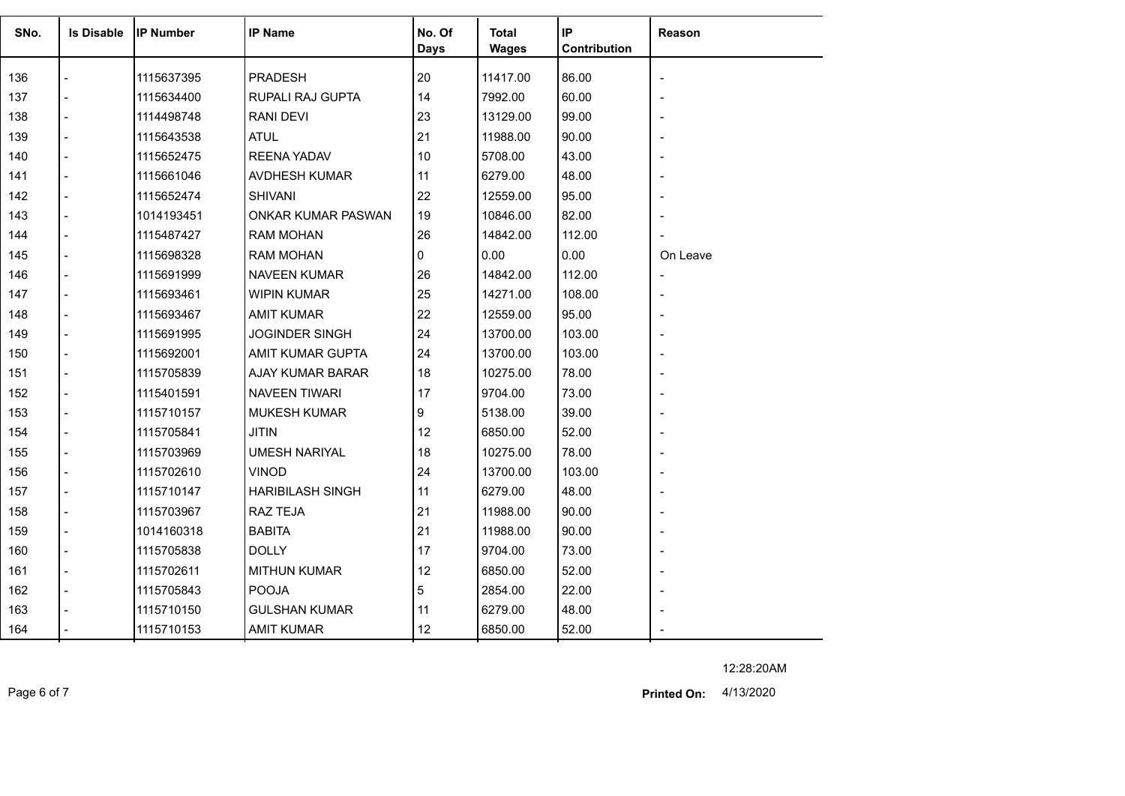| SNo. | <b>Is Disable</b> | <b>IP Number</b> | <b>IP Name</b>            | No. Of<br>Days | <b>Total</b><br><b>Wages</b> | $\sf IP$<br>Contribution | Reason   |
|------|-------------------|------------------|---------------------------|----------------|------------------------------|--------------------------|----------|
| 136  |                   | 1115637395       | <b>PRADESH</b>            | 20             | 11417.00                     | 86.00                    |          |
| 137  |                   | 1115634400       | RUPALI RAJ GUPTA          | 14             | 7992.00                      | 60.00                    |          |
| 138  |                   | 1114498748       | RANI DEVI                 | 23             | 13129.00                     | 99.00                    |          |
| 139  |                   | 1115643538       | <b>ATUL</b>               | 21             | 11988.00                     | 90.00                    |          |
| 140  |                   | 1115652475       | <b>REENA YADAV</b>        | 10             | 5708.00                      | 43.00                    |          |
| 141  |                   | 1115661046       | AVDHESH KUMAR             | 11             | 6279.00                      | 48.00                    |          |
| 142  |                   | 1115652474       | SHIVANI                   | 22             | 12559.00                     | 95.00                    |          |
| 143  |                   | 1014193451       | <b>ONKAR KUMAR PASWAN</b> | 19             | 10846.00                     | 82.00                    |          |
| 144  |                   | 1115487427       | <b>RAM MOHAN</b>          | 26             | 14842.00                     | 112.00                   |          |
| 145  |                   | 1115698328       | <b>RAM MOHAN</b>          | 0              | 0.00                         | 0.00                     | On Leave |
| 146  |                   | 1115691999       | <b>NAVEEN KUMAR</b>       | 26             | 14842.00                     | 112.00                   |          |
| 147  |                   | 1115693461       | <b>WIPIN KUMAR</b>        | 25             | 14271.00                     | 108.00                   |          |
| 148  |                   | 1115693467       | <b>AMIT KUMAR</b>         | 22             | 12559.00                     | 95.00                    |          |
| 149  |                   | 1115691995       | <b>JOGINDER SINGH</b>     | 24             | 13700.00                     | 103.00                   |          |
| 150  |                   | 1115692001       | AMIT KUMAR GUPTA          | 24             | 13700.00                     | 103.00                   |          |
| 151  |                   | 1115705839       | AJAY KUMAR BARAR          | 18             | 10275.00                     | 78.00                    |          |
| 152  |                   | 1115401591       | NAVEEN TIWARI             | 17             | 9704.00                      | 73.00                    |          |
| 153  |                   | 1115710157       | <b>MUKESH KUMAR</b>       | 9              | 5138.00                      | 39.00                    |          |
| 154  |                   | 1115705841       | <b>JITIN</b>              | 12             | 6850.00                      | 52.00                    |          |
| 155  |                   | 1115703969       | <b>UMESH NARIYAL</b>      | 18             | 10275.00                     | 78.00                    |          |
| 156  |                   | 1115702610       | <b>VINOD</b>              | 24             | 13700.00                     | 103.00                   |          |
| 157  |                   | 1115710147       | <b>HARIBILASH SINGH</b>   | 11             | 6279.00                      | 48.00                    |          |
| 158  |                   | 1115703967       | RAZ TEJA                  | 21             | 11988.00                     | 90.00                    |          |
| 159  |                   | 1014160318       | <b>BABITA</b>             | 21             | 11988.00                     | 90.00                    |          |
| 160  |                   | 1115705838       | <b>DOLLY</b>              | 17             | 9704.00                      | 73.00                    |          |
| 161  |                   | 1115702611       | <b>MITHUN KUMAR</b>       | 12             | 6850.00                      | 52.00                    |          |
| 162  |                   | 1115705843       | <b>POOJA</b>              | 5              | 2854.00                      | 22.00                    |          |
| 163  |                   | 1115710150       | <b>GULSHAN KUMAR</b>      | 11             | 6279.00                      | 48.00                    |          |
| 164  |                   | 1115710153       | <b>AMIT KUMAR</b>         | 12             | 6850.00                      | 52.00                    |          |